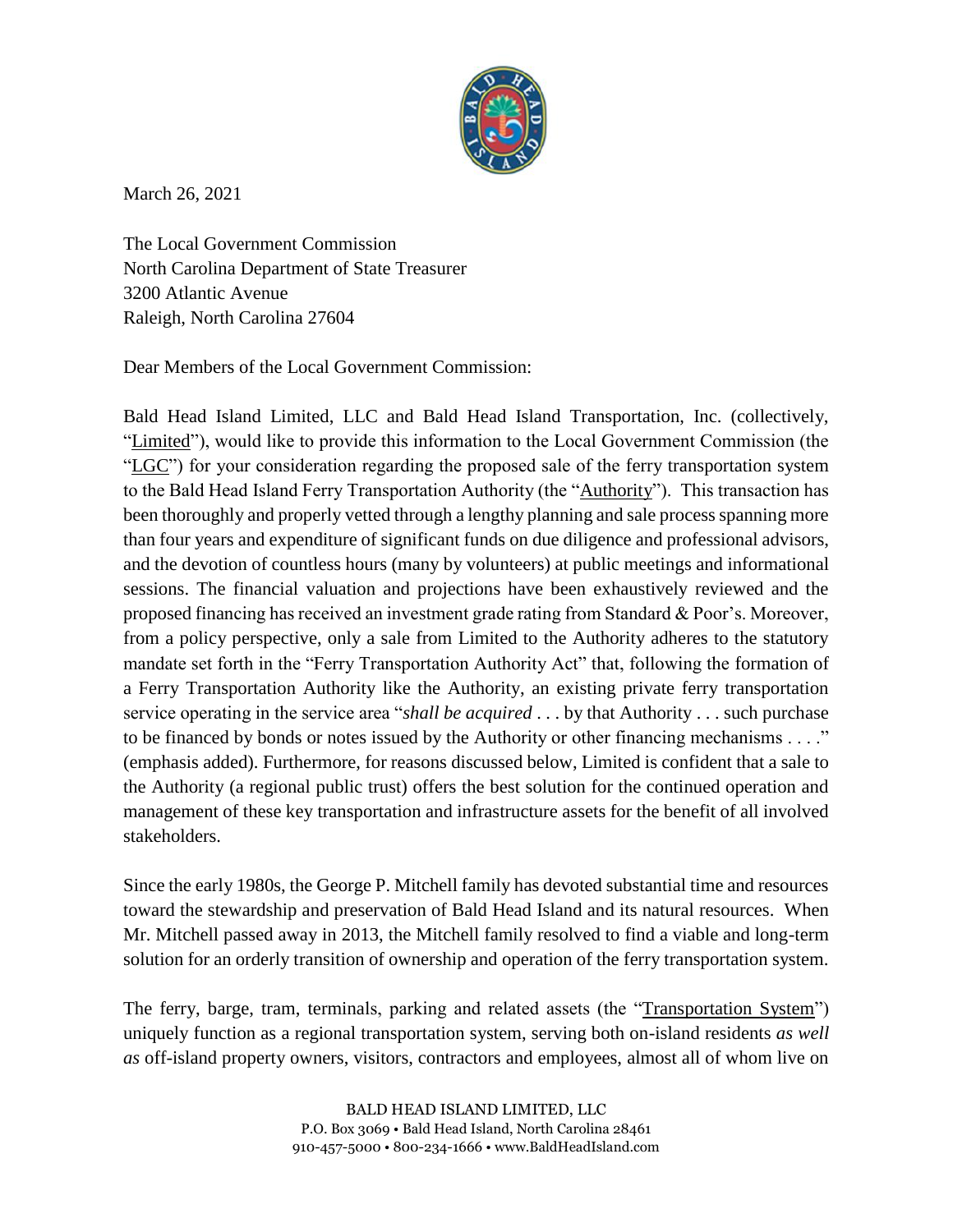

March 26, 2021

The Local Government Commission North Carolina Department of State Treasurer 3200 Atlantic Avenue Raleigh, North Carolina 27604

Dear Members of the Local Government Commission:

Bald Head Island Limited, LLC and Bald Head Island Transportation, Inc. (collectively, "Limited"), would like to provide this information to the Local Government Commission (the "LGC") for your consideration regarding the proposed sale of the ferry transportation system to the Bald Head Island Ferry Transportation Authority (the "Authority"). This transaction has been thoroughly and properly vetted through a lengthy planning and sale process spanning more than four years and expenditure of significant funds on due diligence and professional advisors, and the devotion of countless hours (many by volunteers) at public meetings and informational sessions. The financial valuation and projections have been exhaustively reviewed and the proposed financing has received an investment grade rating from Standard & Poor's. Moreover, from a policy perspective, only a sale from Limited to the Authority adheres to the statutory mandate set forth in the "Ferry Transportation Authority Act" that, following the formation of a Ferry Transportation Authority like the Authority, an existing private ferry transportation service operating in the service area "*shall be acquired* . . . by that Authority . . . such purchase to be financed by bonds or notes issued by the Authority or other financing mechanisms . . . ." (emphasis added). Furthermore, for reasons discussed below, Limited is confident that a sale to the Authority (a regional public trust) offers the best solution for the continued operation and management of these key transportation and infrastructure assets for the benefit of all involved stakeholders.

Since the early 1980s, the George P. Mitchell family has devoted substantial time and resources toward the stewardship and preservation of Bald Head Island and its natural resources. When Mr. Mitchell passed away in 2013, the Mitchell family resolved to find a viable and long-term solution for an orderly transition of ownership and operation of the ferry transportation system.

The ferry, barge, tram, terminals, parking and related assets (the "Transportation System") uniquely function as a regional transportation system, serving both on-island residents *as well as* off-island property owners, visitors, contractors and employees, almost all of whom live on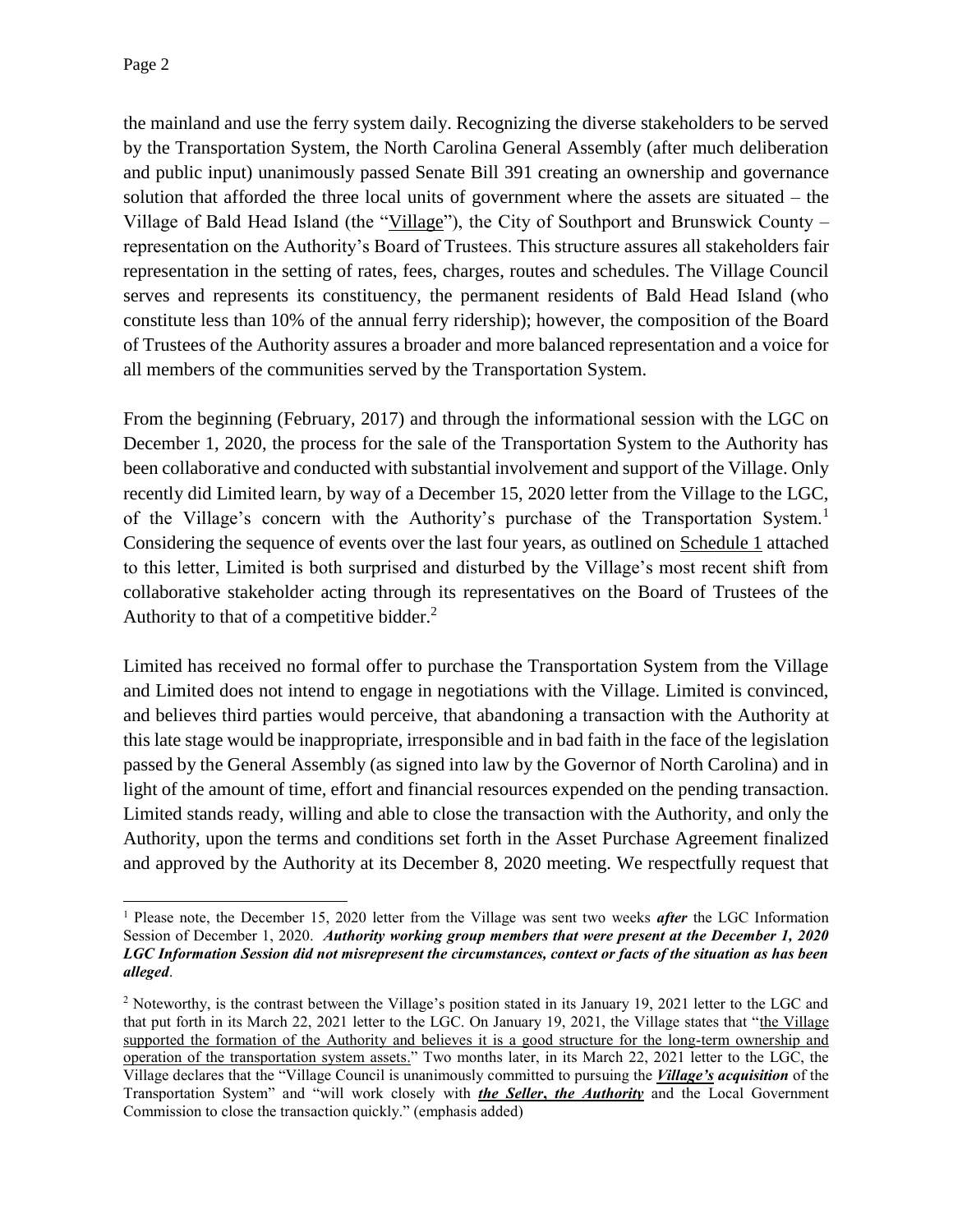the mainland and use the ferry system daily. Recognizing the diverse stakeholders to be served by the Transportation System, the North Carolina General Assembly (after much deliberation and public input) unanimously passed Senate Bill 391 creating an ownership and governance solution that afforded the three local units of government where the assets are situated – the Village of Bald Head Island (the "Village"), the City of Southport and Brunswick County representation on the Authority's Board of Trustees. This structure assures all stakeholders fair representation in the setting of rates, fees, charges, routes and schedules. The Village Council serves and represents its constituency, the permanent residents of Bald Head Island (who constitute less than 10% of the annual ferry ridership); however, the composition of the Board of Trustees of the Authority assures a broader and more balanced representation and a voice for all members of the communities served by the Transportation System.

From the beginning (February, 2017) and through the informational session with the LGC on December 1, 2020, the process for the sale of the Transportation System to the Authority has been collaborative and conducted with substantial involvement and support of the Village. Only recently did Limited learn, by way of a December 15, 2020 letter from the Village to the LGC, of the Village's concern with the Authority's purchase of the Transportation System.<sup>1</sup> Considering the sequence of events over the last four years, as outlined on Schedule 1 attached to this letter, Limited is both surprised and disturbed by the Village's most recent shift from collaborative stakeholder acting through its representatives on the Board of Trustees of the Authority to that of a competitive bidder. $<sup>2</sup>$ </sup>

Limited has received no formal offer to purchase the Transportation System from the Village and Limited does not intend to engage in negotiations with the Village. Limited is convinced, and believes third parties would perceive, that abandoning a transaction with the Authority at this late stage would be inappropriate, irresponsible and in bad faith in the face of the legislation passed by the General Assembly (as signed into law by the Governor of North Carolina) and in light of the amount of time, effort and financial resources expended on the pending transaction. Limited stands ready, willing and able to close the transaction with the Authority, and only the Authority, upon the terms and conditions set forth in the Asset Purchase Agreement finalized and approved by the Authority at its December 8, 2020 meeting. We respectfully request that

 $\overline{a}$ <sup>1</sup> Please note, the December 15, 2020 letter from the Village was sent two weeks *after* the LGC Information Session of December 1, 2020. *Authority working group members that were present at the December 1, 2020 LGC Information Session did not misrepresent the circumstances, context or facts of the situation as has been alleged*.

<sup>&</sup>lt;sup>2</sup> Noteworthy, is the contrast between the Village's position stated in its January 19, 2021 letter to the LGC and that put forth in its March 22, 2021 letter to the LGC. On January 19, 2021, the Village states that "the Village supported the formation of the Authority and believes it is a good structure for the long-term ownership and operation of the transportation system assets." Two months later, in its March 22, 2021 letter to the LGC, the Village declares that the "Village Council is unanimously committed to pursuing the *Village's acquisition* of the Transportation System" and "will work closely with *the Seller***,** *the Authority* and the Local Government Commission to close the transaction quickly." (emphasis added)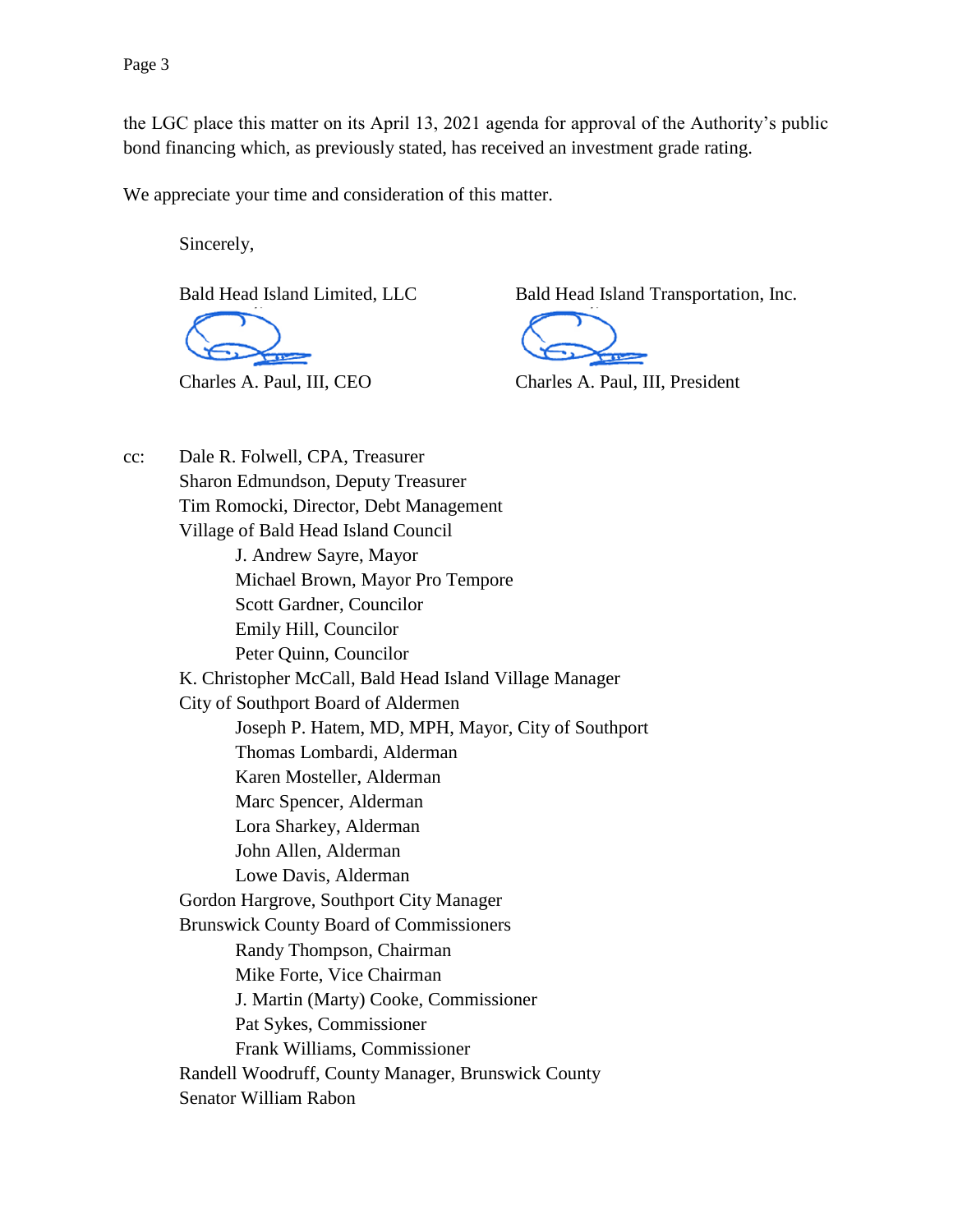the LGC place this matter on its April 13, 2021 agenda for approval of the Authority's public bond financing which, as previously stated, has received an investment grade rating.

We appreciate your time and consideration of this matter.

Sincerely,

Bald Head Island Limited, LLC Bald Head Island Transportation, Inc.

Charles A. Paul, III, CEO Charles A. Paul, III, President

cc: Dale R. Folwell, CPA, Treasurer Sharon Edmundson, Deputy Treasurer Tim Romocki, Director, Debt Management Village of Bald Head Island Council J. Andrew Sayre, Mayor Michael Brown, Mayor Pro Tempore Scott Gardner, Councilor Emily Hill, Councilor Peter Quinn, Councilor K. Christopher McCall, Bald Head Island Village Manager City of Southport Board of Aldermen Joseph P. Hatem, MD, MPH, Mayor, City of Southport Thomas Lombardi, Alderman Karen Mosteller, Alderman Marc Spencer, Alderman Lora Sharkey, Alderman John Allen, Alderman Lowe Davis, Alderman Gordon Hargrove, Southport City Manager Brunswick County Board of Commissioners Randy Thompson, Chairman Mike Forte, Vice Chairman J. Martin (Marty) Cooke, Commissioner Pat Sykes, Commissioner Frank Williams, Commissioner Randell Woodruff, County Manager, Brunswick County Senator William Rabon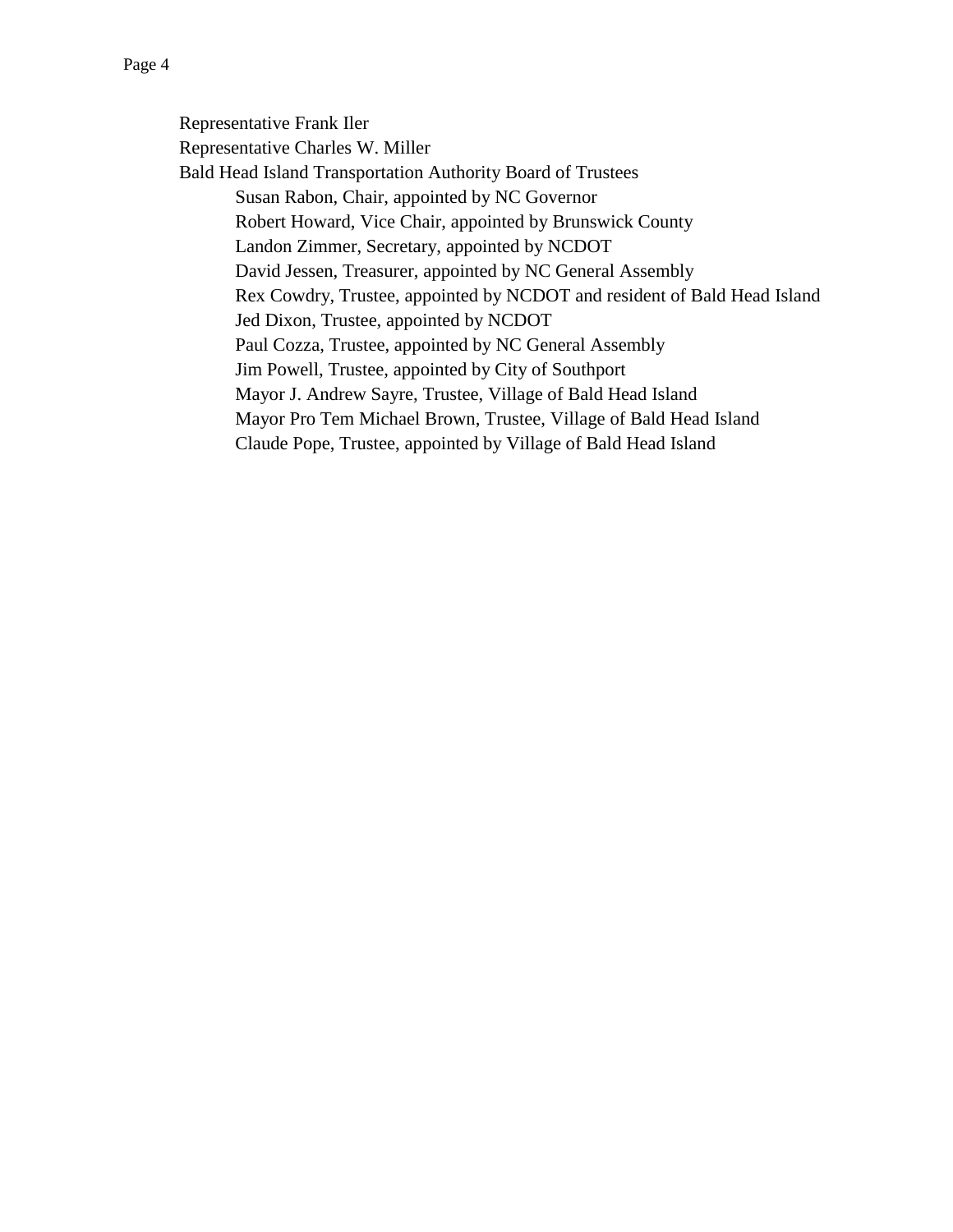Representative Frank Iler Representative Charles W. Miller Bald Head Island Transportation Authority Board of Trustees Susan Rabon, Chair, appointed by NC Governor Robert Howard, Vice Chair, appointed by Brunswick County Landon Zimmer, Secretary, appointed by NCDOT David Jessen, Treasurer, appointed by NC General Assembly Rex Cowdry, Trustee, appointed by NCDOT and resident of Bald Head Island Jed Dixon, Trustee, appointed by NCDOT Paul Cozza, Trustee, appointed by NC General Assembly Jim Powell, Trustee, appointed by City of Southport Mayor J. Andrew Sayre, Trustee, Village of Bald Head Island Mayor Pro Tem Michael Brown, Trustee, Village of Bald Head Island Claude Pope, Trustee, appointed by Village of Bald Head Island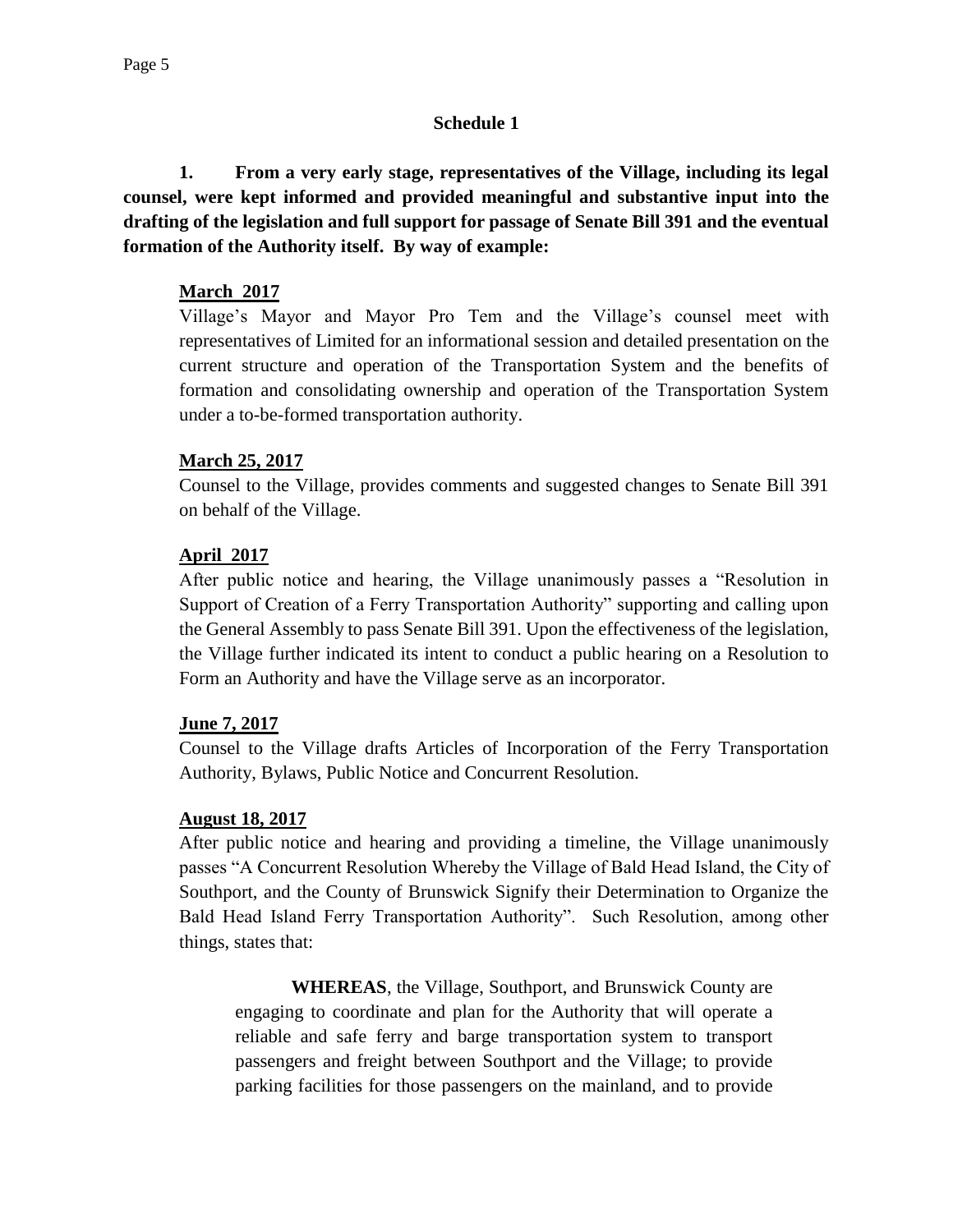## **Schedule 1**

**1. From a very early stage, representatives of the Village, including its legal counsel, were kept informed and provided meaningful and substantive input into the drafting of the legislation and full support for passage of Senate Bill 391 and the eventual formation of the Authority itself. By way of example:**

## **March 2017**

Village's Mayor and Mayor Pro Tem and the Village's counsel meet with representatives of Limited for an informational session and detailed presentation on the current structure and operation of the Transportation System and the benefits of formation and consolidating ownership and operation of the Transportation System under a to-be-formed transportation authority.

## **March 25, 2017**

Counsel to the Village, provides comments and suggested changes to Senate Bill 391 on behalf of the Village.

## **April 2017**

After public notice and hearing, the Village unanimously passes a "Resolution in Support of Creation of a Ferry Transportation Authority" supporting and calling upon the General Assembly to pass Senate Bill 391. Upon the effectiveness of the legislation, the Village further indicated its intent to conduct a public hearing on a Resolution to Form an Authority and have the Village serve as an incorporator.

# **June 7, 2017**

Counsel to the Village drafts Articles of Incorporation of the Ferry Transportation Authority, Bylaws, Public Notice and Concurrent Resolution.

# **August 18, 2017**

After public notice and hearing and providing a timeline, the Village unanimously passes "A Concurrent Resolution Whereby the Village of Bald Head Island, the City of Southport, and the County of Brunswick Signify their Determination to Organize the Bald Head Island Ferry Transportation Authority". Such Resolution, among other things, states that:

**WHEREAS**, the Village, Southport, and Brunswick County are engaging to coordinate and plan for the Authority that will operate a reliable and safe ferry and barge transportation system to transport passengers and freight between Southport and the Village; to provide parking facilities for those passengers on the mainland, and to provide